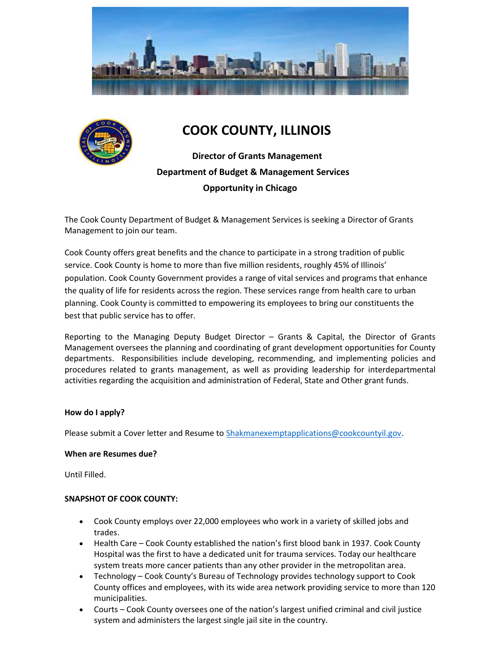



# COOK COUNTY, ILLINOIS

 Director of Grants Management Department of Budget & Management Services Opportunity in Chicago

The Cook County Department of Budget & Management Services is seeking a Director of Grants Management to join our team.

Cook County offers great benefits and the chance to participate in a strong tradition of public service. Cook County is home to more than five million residents, roughly 45% of Illinois' population. Cook County Government provides a range of vital services and programs that enhance the quality of life for residents across the region. These services range from health care to urban planning. Cook County is committed to empowering its employees to bring our constituents the best that public service has to offer.

Reporting to the Managing Deputy Budget Director – Grants & Capital, the Director of Grants Management oversees the planning and coordinating of grant development opportunities for County departments. Responsibilities include developing, recommending, and implementing policies and procedures related to grants management, as well as providing leadership for interdepartmental activities regarding the acquisition and administration of Federal, State and Other grant funds.

### How do I apply?

Please submit a Cover letter and Resume to Shakmanexemptapplications@cookcountyil.gov.

### When are Resumes due?

Until Filled.

### SNAPSHOT OF COOK COUNTY:

- Cook County employs over 22,000 employees who work in a variety of skilled jobs and trades.
- Health Care Cook County established the nation's first blood bank in 1937. Cook County Hospital was the first to have a dedicated unit for trauma services. Today our healthcare system treats more cancer patients than any other provider in the metropolitan area.
- Technology Cook County's Bureau of Technology provides technology support to Cook County offices and employees, with its wide area network providing service to more than 120 municipalities.
- Courts Cook County oversees one of the nation's largest unified criminal and civil justice system and administers the largest single jail site in the country.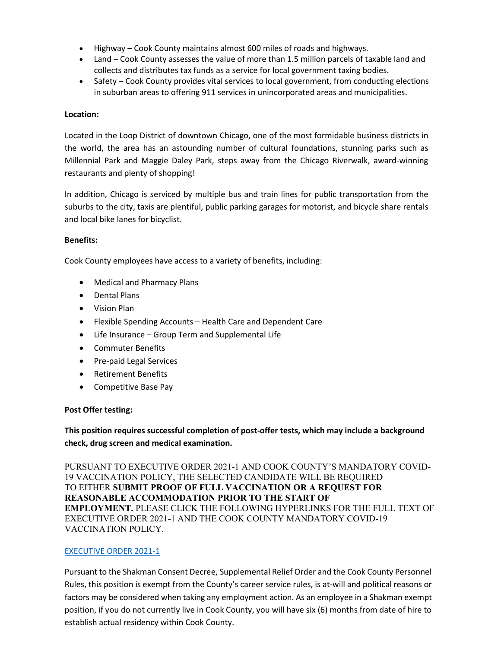- Highway Cook County maintains almost 600 miles of roads and highways.
- Land Cook County assesses the value of more than 1.5 million parcels of taxable land and collects and distributes tax funds as a service for local government taxing bodies.
- Safety Cook County provides vital services to local government, from conducting elections in suburban areas to offering 911 services in unincorporated areas and municipalities.

### Location:

Located in the Loop District of downtown Chicago, one of the most formidable business districts in the world, the area has an astounding number of cultural foundations, stunning parks such as Millennial Park and Maggie Daley Park, steps away from the Chicago Riverwalk, award-winning restaurants and plenty of shopping!

In addition, Chicago is serviced by multiple bus and train lines for public transportation from the suburbs to the city, taxis are plentiful, public parking garages for motorist, and bicycle share rentals and local bike lanes for bicyclist.

### Benefits:

Cook County employees have access to a variety of benefits, including:

- Medical and Pharmacy Plans
- Dental Plans
- Vision Plan
- Flexible Spending Accounts Health Care and Dependent Care
- Life Insurance Group Term and Supplemental Life
- Commuter Benefits
- Pre-paid Legal Services
- Retirement Benefits
- Competitive Base Pay

### Post Offer testing:

This position requires successful completion of post-offer tests, which may include a background check, drug screen and medical examination.

PURSUANT TO EXECUTIVE ORDER 2021-1 AND COOK COUNTY'S MANDATORY COVID-19 VACCINATION POLICY, THE SELECTED CANDIDATE WILL BE REQUIRED TO EITHER SUBMIT PROOF OF FULL VACCINATION OR A REQUEST FOR REASONABLE ACCOMMODATION PRIOR TO THE START OF EMPLOYMENT. PLEASE CLICK THE FOLLOWING HYPERLINKS FOR THE FULL TEXT OF EXECUTIVE ORDER 2021-1 AND THE COOK COUNTY MANDATORY COVID-19 VACCINATION POLICY.

### EXECUTIVE ORDER 2021-1

Pursuant to the Shakman Consent Decree, Supplemental Relief Order and the Cook County Personnel Rules, this position is exempt from the County's career service rules, is at-will and political reasons or factors may be considered when taking any employment action. As an employee in a Shakman exempt position, if you do not currently live in Cook County, you will have six (6) months from date of hire to establish actual residency within Cook County.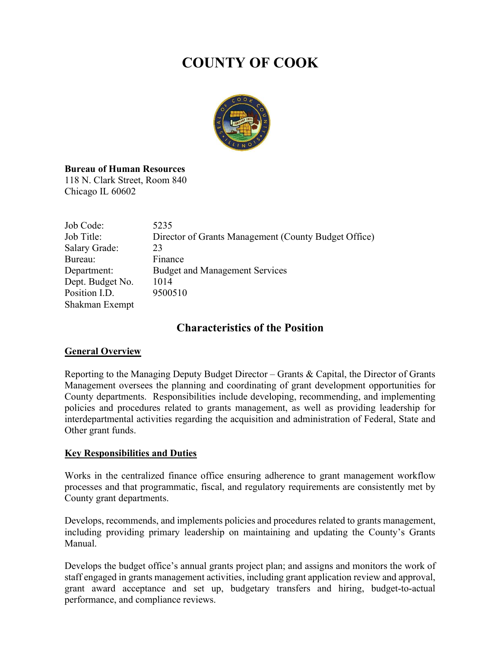# COUNTY OF COOK



# Bureau of Human Resources

118 N. Clark Street, Room 840 Chicago IL 60602

| Job Code:        | 5235                                                 |
|------------------|------------------------------------------------------|
| Job Title:       | Director of Grants Management (County Budget Office) |
| Salary Grade:    | 23                                                   |
| Bureau:          | Finance                                              |
| Department:      | <b>Budget and Management Services</b>                |
| Dept. Budget No. | 1014                                                 |
| Position I.D.    | 9500510                                              |
| Shakman Exempt   |                                                      |

# Characteristics of the Position

# General Overview

Reporting to the Managing Deputy Budget Director – Grants & Capital, the Director of Grants Management oversees the planning and coordinating of grant development opportunities for County departments. Responsibilities include developing, recommending, and implementing policies and procedures related to grants management, as well as providing leadership for interdepartmental activities regarding the acquisition and administration of Federal, State and Other grant funds.

# **Key Responsibilities and Duties**

Works in the centralized finance office ensuring adherence to grant management workflow processes and that programmatic, fiscal, and regulatory requirements are consistently met by County grant departments.

Develops, recommends, and implements policies and procedures related to grants management, including providing primary leadership on maintaining and updating the County's Grants Manual.

Develops the budget office's annual grants project plan; and assigns and monitors the work of staff engaged in grants management activities, including grant application review and approval, grant award acceptance and set up, budgetary transfers and hiring, budget-to-actual performance, and compliance reviews.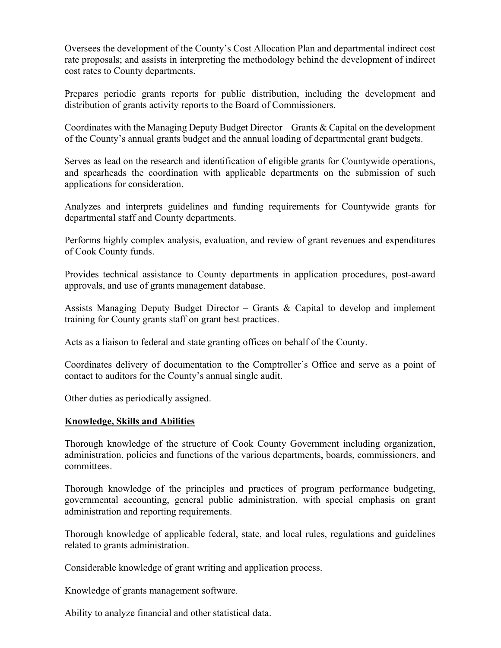Oversees the development of the County's Cost Allocation Plan and departmental indirect cost rate proposals; and assists in interpreting the methodology behind the development of indirect cost rates to County departments.

Prepares periodic grants reports for public distribution, including the development and distribution of grants activity reports to the Board of Commissioners.

Coordinates with the Managing Deputy Budget Director – Grants & Capital on the development of the County's annual grants budget and the annual loading of departmental grant budgets.

Serves as lead on the research and identification of eligible grants for Countywide operations, and spearheads the coordination with applicable departments on the submission of such applications for consideration.

Analyzes and interprets guidelines and funding requirements for Countywide grants for departmental staff and County departments.

Performs highly complex analysis, evaluation, and review of grant revenues and expenditures of Cook County funds.

Provides technical assistance to County departments in application procedures, post-award approvals, and use of grants management database.

Assists Managing Deputy Budget Director – Grants  $\&$  Capital to develop and implement training for County grants staff on grant best practices.

Acts as a liaison to federal and state granting offices on behalf of the County.

Coordinates delivery of documentation to the Comptroller's Office and serve as a point of contact to auditors for the County's annual single audit.

Other duties as periodically assigned.

# Knowledge, Skills and Abilities

Thorough knowledge of the structure of Cook County Government including organization, administration, policies and functions of the various departments, boards, commissioners, and committees.

Thorough knowledge of the principles and practices of program performance budgeting, governmental accounting, general public administration, with special emphasis on grant administration and reporting requirements.

Thorough knowledge of applicable federal, state, and local rules, regulations and guidelines related to grants administration.

Considerable knowledge of grant writing and application process.

Knowledge of grants management software.

Ability to analyze financial and other statistical data.